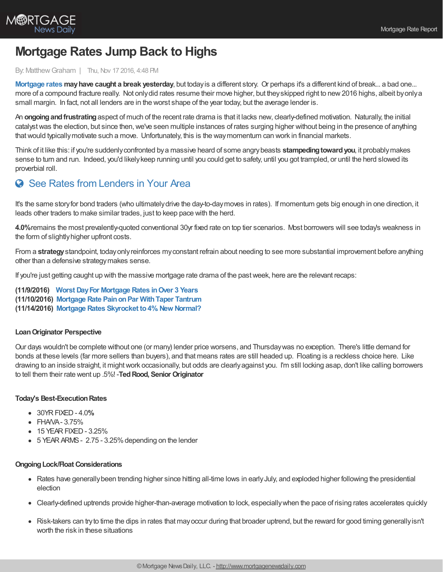

# **Mortgage Rates Jump Back to Highs**

#### By: MatthewGraham | Thu, Nov 17 2016, 4:48 PM

**[Mortgage](http://www.mortgagenewsdaily.com/mortgage_rates/) rates mayhave caught a break yesterday**, but todayis a different story. Or perhaps it's a different kind of break... a bad one... more of a compound fracture really. Not onlydid rates resume their move higher, but theyskipped right to new2016 highs, albeit byonlya small margin. In fact, not all lenders are in the worst shape of the year today, but the average lender is.

An **ongoingandfrustrating**aspect of much of the recent rate drama is that it lacks new, clearly-defined motivation. Naturally, the initial catalyst was the election, but since then, we've seen multiple instances of rates surging higher without being in the presence of anything thatwould typicallymotivate such a move. Unfortunately, this is the waymomentum can work in financial markets.

Think of it like this: if you're suddenlyconfronted bya massive heard of some angrybeasts **stampedingtowardyou**, it probablymakes sense to turn and run. Indeed, you'd likelykeep running until you could get to safety, until you got trampled, or until the herd slowed its proverbial roll.

# See Rates from [Lenders](https://www.mortgagenewsdaily.com/mortgage-rates?srt=true) in Your Area

It's the same storyfor bond traders (who ultimatelydrive the day-to-daymoves in rates). If momentum gets big enough in one direction, it leads other traders to make similar trades, just to keep pace with the herd.

**4.0%**remains the most prevalently-quoted conventional 30yr fixed rate on top tier scenarios. Most borrowers will see today's weakness in the form of slightly higher upfront costs.

From a **strategy**standpoint, todayonlyreinforces myconstant refrain about needing to see more substantial improvement before anything other than a defensive strategymakes sense.

If you're just getting caught up with the massive mortgage rate drama of the pastweek, here are the relevant recaps:

**(11/9/2016) Worst DayFor [Mortgage](http://www.mortgagenewsdaily.com/consumer_rates/678888.aspx) Rates inOver 3 Years (11/10/2016) Mortgage Rate [PainonPar](http://www.mortgagenewsdaily.com/consumer_rates/677946.aspx) WithTaper Tantrum (11/14/2016) Mortgage Rates Skyrocket [to4%.New](http://www.mortgagenewsdaily.com/consumer_rates/677466.aspx) Normal?**

## **LoanOriginator Perspective**

Our days wouldn't be complete without one (or many) lender price worsens, and Thursdaywas no exception. There's little demand for bonds at these levels (far more sellers than buyers), and that means rates are still headed up. Floating is a reckless choice here. Like drawing to an inside straight, it mightwork occasionally, but odds are clearlyagainst you. I'm still locking asap, don't like calling borrowers to tell them their rate went up .5%! -**TedRood, Senior Originator**

## **Today's Best-ExecutionRates**

- 30YRFIXED- 4.0**%**
- FHAVA-3.75%
- 15 YEAR FIXED 3.25%
- 5 YEAR ARMS 2.75 3.25% depending on the lender

#### **OngoingLock/Float Considerations**

- Rates have generally been trending higher since hitting all-time lows in early July, and exploded higher following the presidential election
- Clearly-defined uptrends provide higher-than-average motivation to lock, especiallywhen the pace of rising rates accelerates quickly
- Risk-takers can try to time the dips in rates that may occur during that broader uptrend, but the reward for good timing generally isn't worth the risk in these situations